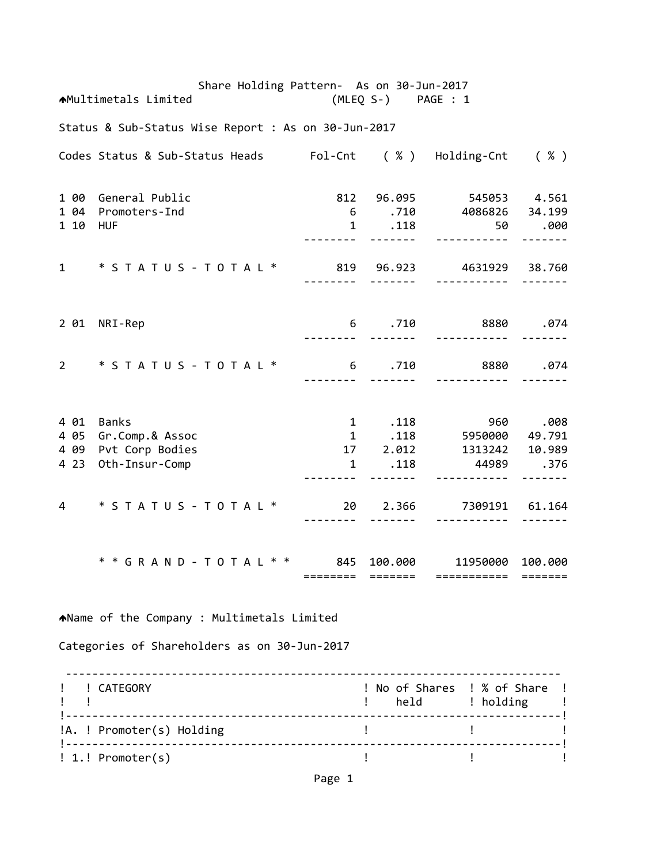Share Holding Pattern‐ As on 30‐Jun‐2017 Multimetals Limited (MLEQ S‐) PAGE : 1 Status & Sub‐Status Wise Report : As on 30‐Jun‐2017 Codes Status & Sub‐Status Heads Fol‐Cnt ( % ) Holding‐Cnt ( % ) 1 00 General Public 812 96.095 545053 4.561 1 04 Promoters‐Ind 6 .710 4086826 34.199 1 10 HUF 1 .118 50 .000 ‐‐‐‐‐‐‐‐ ‐‐‐‐‐‐‐ ‐‐‐‐‐‐‐‐‐‐‐ ‐‐‐‐‐‐‐ 1 \* S T A T U S ‐ T O T A L \* 819 96.923 4631929 38.760 ‐‐‐‐‐‐‐‐ ‐‐‐‐‐‐‐ ‐‐‐‐‐‐‐‐‐‐‐ ‐‐‐‐‐‐‐ 2 01 NRI‐Rep 6 .710 8880 .074 ‐‐‐‐‐‐‐‐ ‐‐‐‐‐‐‐ ‐‐‐‐‐‐‐‐‐‐‐ ‐‐‐‐‐‐‐ 2 \* S T A T U S ‐ T O T A L \* 6 .710 8880 .074 ‐‐‐‐‐‐‐‐ ‐‐‐‐‐‐‐ ‐‐‐‐‐‐‐‐‐‐‐ ‐‐‐‐‐‐‐ 4 01 Banks 1 .118 960 .008 4 05 Gr.Comp.& Assoc 1 .118 5950000 49.791 4 09 Pvt Corp Bodies 17 2.012 1313242 10.989 4 23 Oth‐Insur‐Comp 1 .118 44989 .376 ‐‐‐‐‐‐‐‐ ‐‐‐‐‐‐‐ ‐‐‐‐‐‐‐‐‐‐‐ ‐‐‐‐‐‐‐ 4 \* S T A T U S ‐ T O T A L \* 20 2.366 7309191 61.164 ‐‐‐‐‐‐‐‐ ‐‐‐‐‐‐‐ ‐‐‐‐‐‐‐‐‐‐‐ ‐‐‐‐‐‐‐ \* \* G R A N D ‐ T O T A L \* \* 845 100.000 11950000 100.000 ======== ======= =========== ======= Name of the Company : Multimetals Limited Categories of Shareholders as on 30‐Jun‐2017 ‐‐‐‐‐‐‐‐‐‐‐‐‐‐‐‐‐‐‐‐‐‐‐‐‐‐‐‐‐‐‐‐‐‐‐‐‐‐‐‐‐‐‐‐‐‐‐‐‐‐‐‐‐‐‐‐‐‐‐‐‐‐‐‐‐‐‐‐‐‐‐‐‐‐‐ ! ! CATEGORY ! No of Shares ! % of Share ! example to the set of the set of the set of the set of the set of the set of the set of the set of the set of t !‐‐‐‐‐‐‐‐‐‐‐‐‐‐‐‐‐‐‐‐‐‐‐‐‐‐‐‐‐‐‐‐‐‐‐‐‐‐‐‐‐‐‐‐‐‐‐‐‐‐‐‐‐‐‐‐‐‐‐‐‐‐‐‐‐‐‐‐‐‐‐‐‐‐‐! !A. ! Promoter(s) Holding ! ! !‐‐‐‐‐‐‐‐‐‐‐‐‐‐‐‐‐‐‐‐‐‐‐‐‐‐‐‐‐‐‐‐‐‐‐‐‐‐‐‐‐‐‐‐‐‐‐‐‐‐‐‐‐‐‐‐‐‐‐‐‐‐‐‐‐‐‐‐‐‐‐‐‐‐‐!

! 1.! Promoter(s) ! ! !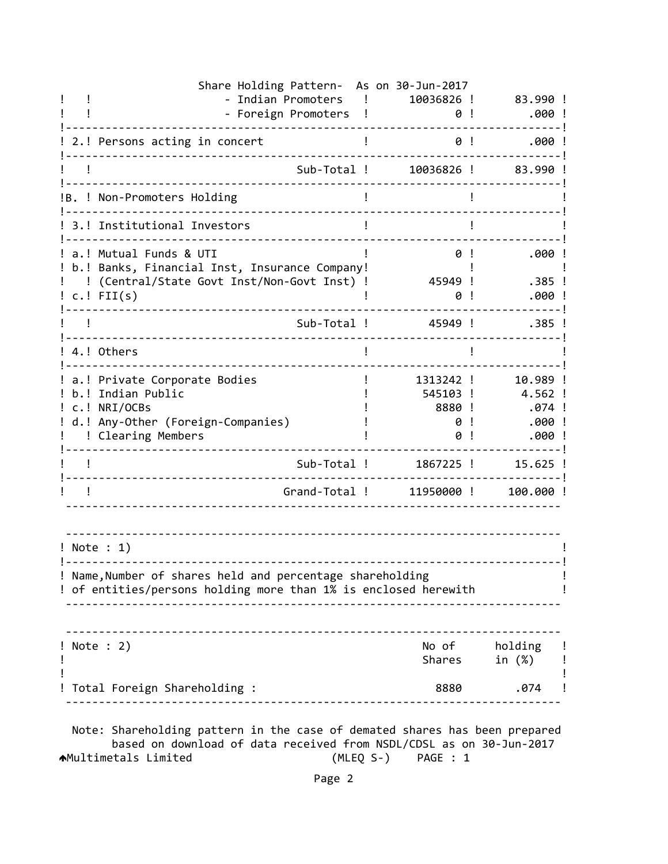| - Foreign Promoters<br>$\blacksquare$<br>2.! Persons acting in concert<br>Sub-Total !<br>!B. ! Non-Promoters Holding<br>3.! Institutional Investors<br>a.! Mutual Funds & UTI<br>b.! Banks, Financial Inst, Insurance Company!<br>(Central/State Govt Inst/Non-Govt Inst) !<br>$c.!$ FII(s)<br>Sub-Total !<br>4.! Others<br>a.! Private Corporate Bodies<br>b.! Indian Public<br>c.! NRI/OCBs<br>d.! Any-Other (Foreign-Companies)<br>! Clearing Members<br>Sub-Total !<br>Grand-Total !<br>! Note : 1)<br>! Name, Number of shares held and percentage shareholding<br>! of entities/persons holding more than 1% is enclosed herewith | Share Holding Pattern- As on 30-Jun-2017<br>10036826 ! | 83.990 !                                        |
|-----------------------------------------------------------------------------------------------------------------------------------------------------------------------------------------------------------------------------------------------------------------------------------------------------------------------------------------------------------------------------------------------------------------------------------------------------------------------------------------------------------------------------------------------------------------------------------------------------------------------------------------|--------------------------------------------------------|-------------------------------------------------|
|                                                                                                                                                                                                                                                                                                                                                                                                                                                                                                                                                                                                                                         | 0!                                                     | .000!                                           |
|                                                                                                                                                                                                                                                                                                                                                                                                                                                                                                                                                                                                                                         | 0!                                                     | $.000$ !                                        |
|                                                                                                                                                                                                                                                                                                                                                                                                                                                                                                                                                                                                                                         | 10036826 !                                             | 83.990!                                         |
|                                                                                                                                                                                                                                                                                                                                                                                                                                                                                                                                                                                                                                         |                                                        |                                                 |
|                                                                                                                                                                                                                                                                                                                                                                                                                                                                                                                                                                                                                                         |                                                        |                                                 |
|                                                                                                                                                                                                                                                                                                                                                                                                                                                                                                                                                                                                                                         | 0!<br>45949 !<br>0                                     | .000!<br>$.385$ !<br>.000!                      |
|                                                                                                                                                                                                                                                                                                                                                                                                                                                                                                                                                                                                                                         | 45949 !                                                | $.385$ !                                        |
|                                                                                                                                                                                                                                                                                                                                                                                                                                                                                                                                                                                                                                         |                                                        |                                                 |
|                                                                                                                                                                                                                                                                                                                                                                                                                                                                                                                                                                                                                                         | 1313242 !<br>545103 !<br>8880 !<br>0<br>0              | 10.989 !<br>4.562 !<br>.074 !<br>.000!<br>.000! |
|                                                                                                                                                                                                                                                                                                                                                                                                                                                                                                                                                                                                                                         | 1867225 !                                              | 15.625 !                                        |
|                                                                                                                                                                                                                                                                                                                                                                                                                                                                                                                                                                                                                                         | 11950000!                                              | 100.000 !                                       |
|                                                                                                                                                                                                                                                                                                                                                                                                                                                                                                                                                                                                                                         |                                                        |                                                 |
|                                                                                                                                                                                                                                                                                                                                                                                                                                                                                                                                                                                                                                         |                                                        |                                                 |
| ! Note : 2)                                                                                                                                                                                                                                                                                                                                                                                                                                                                                                                                                                                                                             | Shares                                                 | No of holding<br>in (%)                         |
| Total Foreign Shareholding :                                                                                                                                                                                                                                                                                                                                                                                                                                                                                                                                                                                                            | 8880                                                   | .074                                            |

 based on download of data received from NSDL/CDSL as on 30‐Jun‐2017 Multimetals Limited (MLEQ S‐) PAGE : 1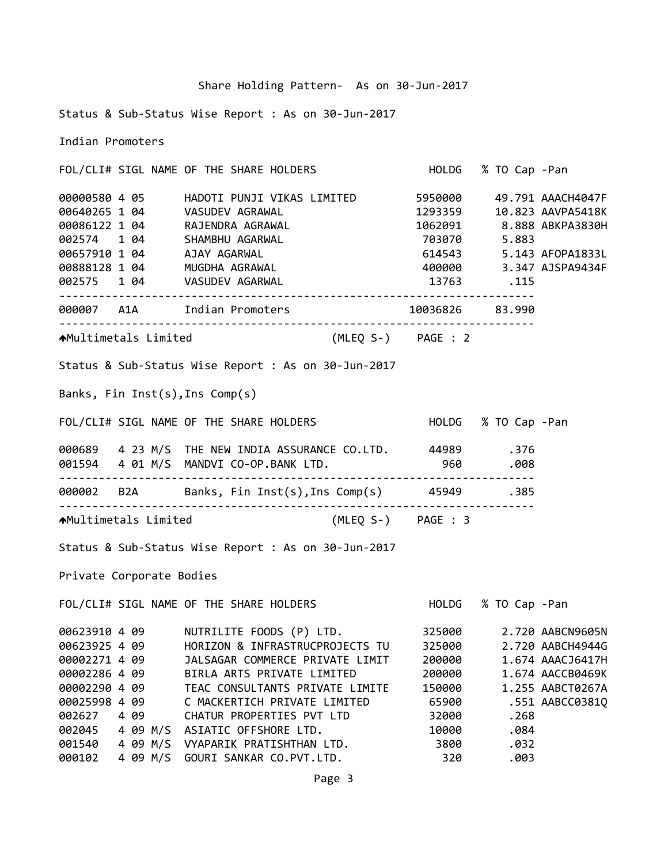|  |  | Share Holding Pattern- As on 30-Jun-2017 |
|--|--|------------------------------------------|

Status & Sub‐Status Wise Report : As on 30‐Jun‐2017

Indian Promoters

|               |                          | FOL/CLI# SIGL NAME OF THE SHARE HOLDERS HOLD HOLDG % TO Cap -Pan                                                                                                                                                                                                                          |                     |      |                  |
|---------------|--------------------------|-------------------------------------------------------------------------------------------------------------------------------------------------------------------------------------------------------------------------------------------------------------------------------------------|---------------------|------|------------------|
|               |                          | 00000580 4 05 HADOTI PUNJI VIKAS LIMITED 5950000 49.791 AAACH4047F                                                                                                                                                                                                                        |                     |      |                  |
|               |                          |                                                                                                                                                                                                                                                                                           |                     |      |                  |
|               |                          |                                                                                                                                                                                                                                                                                           |                     |      |                  |
|               |                          |                                                                                                                                                                                                                                                                                           |                     |      |                  |
|               |                          |                                                                                                                                                                                                                                                                                           |                     |      |                  |
|               |                          |                                                                                                                                                                                                                                                                                           |                     |      |                  |
|               |                          | 000000580 4 05<br>000640265 1 04<br>00086122 1 04<br>00086122 1 04<br>00086122 1 04<br>00086122 1 04<br>00086122 1 04<br>0008657910 1 04<br>AJAY AGARWAL<br>MUGDHA AGRAWAL<br>MUGDHA AGRAWAL<br>200000<br>2.347 AJSPA9434F<br>2.347 AJSPA9434F<br>2.347 AJ<br>002575 1 04 VASUDEV AGARWAL | 13763 .115          |      |                  |
|               |                          | 000007 A1A Indian Promoters 10036826 83.990                                                                                                                                                                                                                                               |                     |      |                  |
|               |                          | AMultimetals Limited (MLEQ S-) PAGE : 2                                                                                                                                                                                                                                                   |                     |      |                  |
|               |                          | Status & Sub-Status Wise Report : As on 30-Jun-2017                                                                                                                                                                                                                                       |                     |      |                  |
|               |                          | Banks, Fin Inst(s), Ins Comp(s)                                                                                                                                                                                                                                                           |                     |      |                  |
|               |                          | FOL/CLI# SIGL NAME OF THE SHARE HOLDERS                                                                                                                                                                                                                                                   | HOLDG % TO Cap -Pan |      |                  |
|               |                          | 000689  4 23 M/S THE NEW INDIA ASSURANCE CO.LTD.  44989  .376                                                                                                                                                                                                                             |                     |      |                  |
|               |                          | 001594  4  01 M/S  MANDVI CO-OP.BANK LTD.  960  960  .008                                                                                                                                                                                                                                 |                     |      |                  |
|               |                          | 000002 B2A Banks, Fin Inst(s), Ins Comp(s) 45949 .385                                                                                                                                                                                                                                     |                     |      |                  |
|               |                          | AMultimetals Limited (MLEQ S-) PAGE : 3                                                                                                                                                                                                                                                   |                     |      |                  |
|               |                          | Status & Sub-Status Wise Report : As on 30-Jun-2017                                                                                                                                                                                                                                       |                     |      |                  |
|               | Private Corporate Bodies |                                                                                                                                                                                                                                                                                           |                     |      |                  |
|               |                          | FOL/CLI# SIGL NAME OF THE SHARE HOLDERS FOLLOG % TO Cap -Pan                                                                                                                                                                                                                              |                     |      |                  |
|               |                          | 00623910 4 09 NUTRILITE FOODS (P) LTD. 325000 2.720 AABCN9605N<br>00623925 4 09 HORIZON & INFRASTRUCPROJECTS TU 325000 2.720 AABCH4944G                                                                                                                                                   |                     |      |                  |
|               |                          |                                                                                                                                                                                                                                                                                           |                     |      |                  |
| 00002271 4 09 |                          | JALSAGAR COMMERCE PRIVATE LIMIT                                                                                                                                                                                                                                                           | 200000              |      | 1.674 AAACJ6417H |
| 00002286 4 09 |                          | BIRLA ARTS PRIVATE LIMITED                                                                                                                                                                                                                                                                | 200000              |      | 1.674 AACCB0469K |
| 00002290 4 09 |                          | TEAC CONSULTANTS PRIVATE LIMITE                                                                                                                                                                                                                                                           | 150000              |      | 1.255 AABCT0267A |
| 00025998 4 09 |                          | C MACKERTICH PRIVATE LIMITED                                                                                                                                                                                                                                                              | 65900               |      | .551 AABCC0381Q  |
| 002627        | 4 09                     | CHATUR PROPERTIES PVT LTD                                                                                                                                                                                                                                                                 | 32000               | .268 |                  |
| 002045        | 4 09 M/S                 | ASIATIC OFFSHORE LTD.                                                                                                                                                                                                                                                                     | 10000               | .084 |                  |

001540 4 09 M/S VYAPARIK PRATISHTHAN LTD. 3800 .032

000102 4 09 M/S GOURI SANKAR CO.PVT.LTD. 320 .003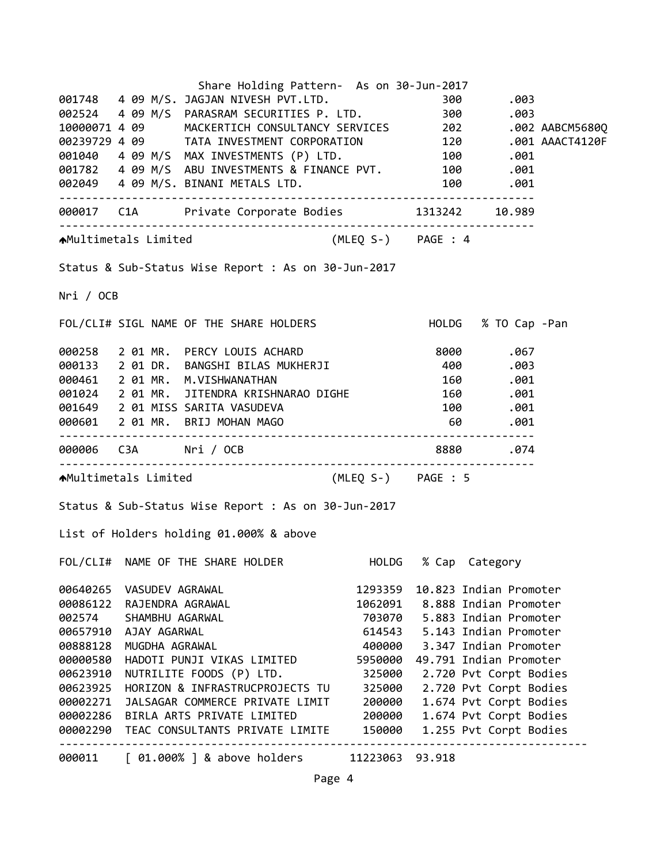|           |                  | Share Holding Pattern- As on 30-Jun-2017                                                                                                                                                                                            |          |                      |                                  |  |
|-----------|------------------|-------------------------------------------------------------------------------------------------------------------------------------------------------------------------------------------------------------------------------------|----------|----------------------|----------------------------------|--|
|           |                  | 001748 4 09 M/S. JAGJAN NIVESH PVT.LTD. 300 .003<br>002524 4 09 M/S PARASRAM SECURITIES P. LTD. 300 .003<br>10000071 4 09 MACKERTICH CONSULTANCY SERVICES 202 .002 AABCM5680Q<br>00239729 4 09 TATA INVESTMENT CORPORATION 120 .001 |          |                      |                                  |  |
|           |                  |                                                                                                                                                                                                                                     |          |                      |                                  |  |
|           |                  |                                                                                                                                                                                                                                     |          |                      |                                  |  |
|           |                  |                                                                                                                                                                                                                                     |          |                      |                                  |  |
|           |                  |                                                                                                                                                                                                                                     |          |                      |                                  |  |
|           |                  |                                                                                                                                                                                                                                     |          |                      |                                  |  |
|           |                  | 002049  4  09  M/S. BINANI METALS LTD.  100  100  .001                                                                                                                                                                              |          |                      |                                  |  |
|           |                  | 000017 C1A Private Corporate Bodies 1313242 10.989                                                                                                                                                                                  |          |                      |                                  |  |
|           |                  | AMultimetals Limited (MLEQ S-) PAGE : 4                                                                                                                                                                                             |          |                      |                                  |  |
|           |                  | Status & Sub-Status Wise Report : As on 30-Jun-2017                                                                                                                                                                                 |          |                      |                                  |  |
| Nri / OCB |                  |                                                                                                                                                                                                                                     |          |                      |                                  |  |
|           |                  | FOL/CLI# SIGL NAME OF THE SHARE HOLDERS                                                                                                                                                                                             |          |                      | HOLDG % TO Cap -Pan              |  |
|           |                  | 000258 2 01 MR. PERCY LOUIS ACHARD 8000 8000 .067<br>000133 2 01 DR. BANGSHI BILAS MUKHERJI 400 .003                                                                                                                                |          |                      |                                  |  |
|           |                  |                                                                                                                                                                                                                                     |          |                      |                                  |  |
|           |                  | 000461 2 01 MR. M.VISHWANATHAN                                                                                                                                                                                                      |          |                      | 160.001                          |  |
|           |                  | 001024 2 01 MR. JITENDRA KRISHNARAO DIGHE 160 .001                                                                                                                                                                                  |          |                      |                                  |  |
|           |                  |                                                                                                                                                                                                                                     |          |                      |                                  |  |
|           |                  | 001649 2 01 MISS SARITA VASUDEVA 100 100 .001<br>000601 2 01 MR. BRIJ MOHAN MAGO 60 .001                                                                                                                                            |          |                      |                                  |  |
|           |                  |                                                                                                                                                                                                                                     |          |                      | 8880 .074                        |  |
|           |                  | AMultimetals Limited (MLEQ S-) PAGE : 5                                                                                                                                                                                             |          |                      |                                  |  |
|           |                  | Status & Sub-Status Wise Report : As on 30-Jun-2017                                                                                                                                                                                 |          |                      |                                  |  |
|           |                  | List of Holders holding 01.000% & above                                                                                                                                                                                             |          |                      |                                  |  |
|           |                  | FOL/CLI# NAME OF THE SHARE HOLDER                                                                                                                                                                                                   |          | HOLDG % Cap Category |                                  |  |
| 00640265  | VASUDEV AGRAWAL  |                                                                                                                                                                                                                                     | 1293359  |                      | 10.823 Indian Promoter           |  |
| 00086122  | RAJENDRA AGRAWAL |                                                                                                                                                                                                                                     |          |                      | 1062091 8.888 Indian Promoter    |  |
| 002574    | SHAMBHU AGARWAL  |                                                                                                                                                                                                                                     |          |                      | 703070   5.883   Indian Promoter |  |
| 00657910  | AJAY AGARWAL     |                                                                                                                                                                                                                                     |          |                      | 614543 5.143 Indian Promoter     |  |
| 00888128  | MUGDHA AGRAWAL   |                                                                                                                                                                                                                                     | 400000   |                      | 3.347 Indian Promoter            |  |
| 00000580  |                  | HADOTI PUNJI VIKAS LIMITED                                                                                                                                                                                                          | 5950000  |                      | 49.791 Indian Promoter           |  |
| 00623910  |                  | NUTRILITE FOODS (P) LTD.                                                                                                                                                                                                            | 325000   |                      | 2.720 Pvt Corpt Bodies           |  |
| 00623925  |                  | HORIZON & INFRASTRUCPROJECTS TU                                                                                                                                                                                                     | 325000   |                      | 2.720 Pvt Corpt Bodies           |  |
| 00002271  |                  | JALSAGAR COMMERCE PRIVATE LIMIT                                                                                                                                                                                                     | 200000   |                      | 1.674 Pvt Corpt Bodies           |  |
| 00002286  |                  | BIRLA ARTS PRIVATE LIMITED                                                                                                                                                                                                          | 200000   |                      | 1.674 Pvt Corpt Bodies           |  |
| 00002290  |                  | TEAC CONSULTANTS PRIVATE LIMITE                                                                                                                                                                                                     | 150000   |                      | 1.255 Pvt Corpt Bodies           |  |
| 000011    |                  | $\lceil$ 01.000% $\rceil$ & above holders                                                                                                                                                                                           | 11223063 | 93.918               |                                  |  |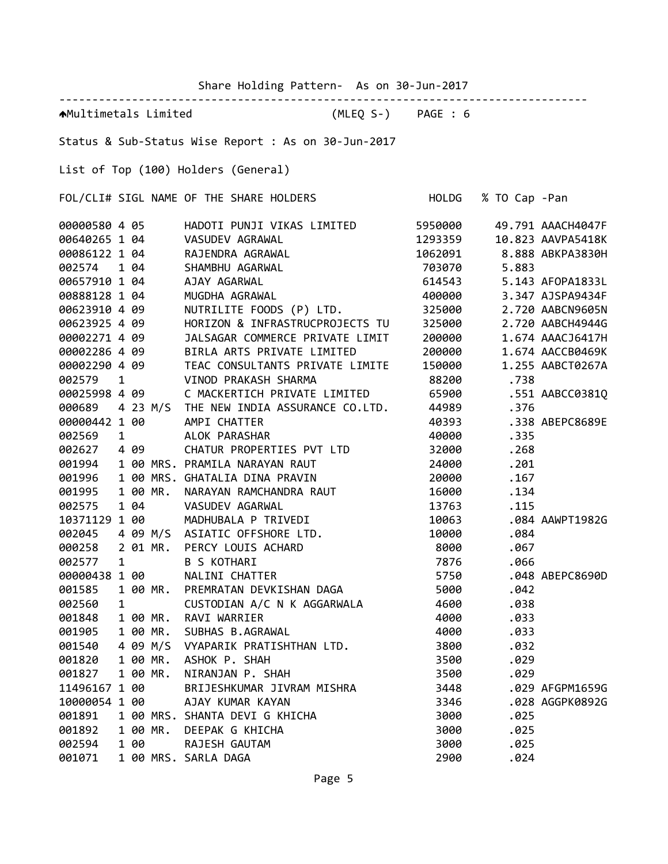Share Holding Pattern‐ As on 30‐Jun‐2017

‐‐‐‐‐‐‐‐‐‐‐‐‐‐‐‐‐‐‐‐‐‐‐‐‐‐‐‐‐‐‐‐‐‐‐‐‐‐‐‐‐‐‐‐‐‐‐‐‐‐‐‐‐‐‐‐‐‐‐‐‐‐‐‐‐‐‐‐‐‐‐‐‐‐‐‐‐‐‐‐ Multimetals Limited (MLEQ S‐) PAGE : 6 Status & Sub‐Status Wise Report : As on 30‐Jun‐2017 List of Top (100) Holders (General) FOL/CLI# SIGL NAME OF THE SHARE HOLDERS HOLDG % TO Cap ‐Pan 4 05 HADOTI PUNJI VIKAS LIMITED 5950000 49.791 AAACH4047F 1 04 VASUDEV AGRAWAL 1293359 10.823 AAVPA5418K 1 04 RAJENDRA AGRAWAL 1062091 8.888 ABKPA3830H 1 04 SHAMBHU AGARWAL 703070 5.883 1 04 AJAY AGARWAL 614543 5.143 AFOPA1833L 1 04 MUGDHA AGRAWAL 400000 3.347 AJSPA9434F 4 09 NUTRILITE FOODS (P) LTD. 325000 2.720 AABCN9605N 4 09 HORIZON & INFRASTRUCPROJECTS TU 325000 2.720 AABCH4944G 4 09 JALSAGAR COMMERCE PRIVATE LIMIT 200000 1.674 AAACJ6417H 4 09 BIRLA ARTS PRIVATE LIMITED 200000 1.674 AACCB0469K 4 09 TEAC CONSULTANTS PRIVATE LIMITE 150000 1.255 AABCT0267A 1 VINOD PRAKASH SHARMA 88200 .738 4 09 C MACKERTICH PRIVATE LIMITED 65900 .551 AABCC0381Q 4 23 M/S THE NEW INDIA ASSURANCE CO.LTD. 44989 .376 00000442 1 00 AMPI CHATTER 40393 .338 ABEPC8689E 002569 1 ALOK PARASHAR 1 40000 1 335 4 09 CHATUR PROPERTIES PVT LTD 32000 .268 1 00 MRS. PRAMILA NARAYAN RAUT 24000 .201 1 00 MRS. GHATALIA DINA PRAVIN 20000 .167 001995 1 00 MR. NARAYAN RAMCHANDRA RAUT 16000 101 1 04 VASUDEV AGARWAL 13763 .115 1 00 MADHUBALA P TRIVEDI 10063 .084 AAWPT1982G 4 09 M/S ASIATIC OFFSHORE LTD. 10000 .084 2 01 MR. PERCY LOUIS ACHARD 8000 .067 1 B S KOTHARI 7876 .066 1 00 NALINI CHATTER 5750 .048 ABEPC8690D 1 00 MR. PREMRATAN DEVKISHAN DAGA 5000 .042 1 CUSTODIAN A/C N K AGGARWALA 4600 .038 1 00 MR. RAVI WARRIER 4000 .033 1 00 MR. SUBHAS B.AGRAWAL 4000 .033 4 09 M/S VYAPARIK PRATISHTHAN LTD. 3800 .032 1 00 MR. ASHOK P. SHAH 3500 .029 1 00 MR. NIRANJAN P. SHAH 3500 .029 1 00 BRIJESHKUMAR JIVRAM MISHRA 3448 .029 AFGPM1659G 1 00 AJAY KUMAR KAYAN 3346 .028 AGGPK0892G 1 00 MRS. SHANTA DEVI G KHICHA 3000 .025 1 00 MR. DEEPAK G KHICHA 3000 .025 1 00 RAJESH GAUTAM 3000 .025 1 00 MRS. SARLA DAGA 2900 .024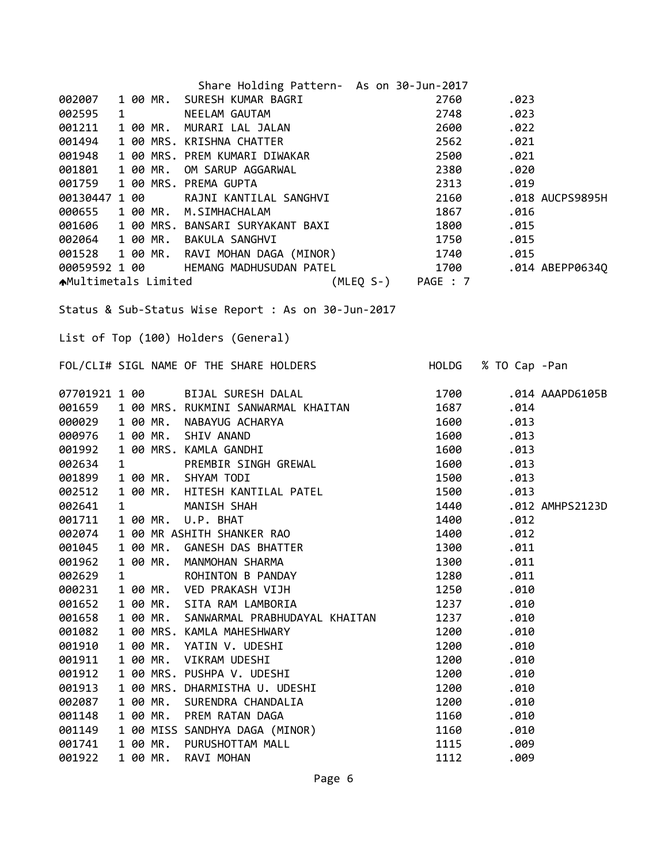|               |   |          | Share Holding Pattern- As on 30-Jun-2017                                                                                                                                                                                                               |      |                     |                 |
|---------------|---|----------|--------------------------------------------------------------------------------------------------------------------------------------------------------------------------------------------------------------------------------------------------------|------|---------------------|-----------------|
| 002007        |   |          |                                                                                                                                                                                                                                                        | 2760 | .023                |                 |
| 002595        |   |          |                                                                                                                                                                                                                                                        | 2748 | .023                |                 |
| 001211        |   |          |                                                                                                                                                                                                                                                        | 2600 | .022                |                 |
| 001494        |   |          |                                                                                                                                                                                                                                                        | 2562 | .021                |                 |
| 001948        |   |          |                                                                                                                                                                                                                                                        | 2500 | .021                |                 |
| 001801        |   |          |                                                                                                                                                                                                                                                        | 2380 | .020                |                 |
| 001759        |   |          |                                                                                                                                                                                                                                                        | 2313 | .019                |                 |
| 00130447 1 00 |   |          | 1 00 MR. SURESH KUMAR BAGRI<br>1 00 MR. MURARI LAL JALAN<br>1 00 MRS. KRISHNA CHATTER<br>1 00 MRS. KRISHNA CHATTER<br>1 00 MRS. PREM KUMARI DIWAKAR<br>1 00 MRS. PREMA GUPTA<br>1 00 RAJNI KANTILAL SANGHVI<br>1 00 RAJNI KANTILAL SANGHVI<br>1 00 MR. | 2160 |                     | .018 AUCPS9895H |
|               |   |          |                                                                                                                                                                                                                                                        |      |                     |                 |
|               |   |          |                                                                                                                                                                                                                                                        |      |                     |                 |
|               |   |          |                                                                                                                                                                                                                                                        |      |                     |                 |
|               |   |          |                                                                                                                                                                                                                                                        |      |                     |                 |
|               |   |          |                                                                                                                                                                                                                                                        |      |                     |                 |
|               |   |          | 000655 1 00 MR. M.SIMHACHALAM<br>001606 1 00 MR. BANSARI SURYAKANT BAXI 1867 .015<br>002064 1 00 MR. BAKULA SANGHVI 1750 .015<br>001528 1 00 MR. RAVI MOHAN DAGA (MINOR) 1740 .015<br>00059592 1 00 HEMANG MADHUSUDAN PATEL 1700 .014                  |      |                     |                 |
|               |   |          |                                                                                                                                                                                                                                                        |      |                     |                 |
|               |   |          | Status & Sub-Status Wise Report : As on 30-Jun-2017                                                                                                                                                                                                    |      |                     |                 |
|               |   |          |                                                                                                                                                                                                                                                        |      |                     |                 |
|               |   |          | List of Top (100) Holders (General)                                                                                                                                                                                                                    |      |                     |                 |
|               |   |          | FOL/CLI# SIGL NAME OF THE SHARE HOLDERS                                                                                                                                                                                                                |      |                     |                 |
|               |   |          |                                                                                                                                                                                                                                                        |      | HOLDG % TO Cap -Pan |                 |
|               |   |          | 07701921 1 00 BIJAL SURESH DALAL                                                                                                                                                                                                                       | 1700 |                     | .014 AAAPD6105B |
|               |   |          |                                                                                                                                                                                                                                                        | 1687 | .014                |                 |
|               |   |          |                                                                                                                                                                                                                                                        | 1600 | .013                |                 |
|               |   |          |                                                                                                                                                                                                                                                        | 1600 | .013                |                 |
|               |   |          |                                                                                                                                                                                                                                                        | 1600 | .013                |                 |
|               |   |          |                                                                                                                                                                                                                                                        | 1600 | .013                |                 |
|               |   |          | 07701921 1 00<br>001659 1 00 MRS. RUKMINI SANWARMAL KHAITAN<br>000029 1 00 MR. NABAYUG ACHARYA<br>000976 1 00 MR. SHIV ANAND<br>001992 1 00 MRS. KAMLA GANDHI<br>002634 1 PREMBIR SINGH GREWAL<br>001899 1 00 MR. SHYAM TODI                           | 1500 | .013                |                 |
| 002512        |   |          |                                                                                                                                                                                                                                                        | 1500 | .013                |                 |
| 002641        |   |          |                                                                                                                                                                                                                                                        | 1440 |                     | .012 AMHPS2123D |
| 001711        |   |          | 1 00 MR. HITESH KANTILAL PATEL<br>1 00 MR. U.P. BHAT<br>1 00 MR. U.P. BHAT<br>1 00 MR ASHITH SHANKER RAO<br>1 00 MR. GANESH DAS BHATTER<br>1 00 MR. GANESH DAS BHATTER                                                                                 | 1400 | .012                |                 |
| 002074        |   |          |                                                                                                                                                                                                                                                        | 1400 | .012                |                 |
| 001045        |   |          |                                                                                                                                                                                                                                                        | 1300 | .011                |                 |
| 001962        |   | 1 00 MR. | MANMOHAN SHARMA                                                                                                                                                                                                                                        | 1300 | .011                |                 |
| 002629        | 1 |          | ROHINTON B PANDAY                                                                                                                                                                                                                                      | 1280 | .011                |                 |
| 000231        |   | 1 00 MR. | <b>VED PRAKASH VIJH</b>                                                                                                                                                                                                                                | 1250 | .010                |                 |
| 001652        |   | 1 00 MR. | SITA RAM LAMBORIA                                                                                                                                                                                                                                      | 1237 | .010                |                 |
| 001658        |   | 1 00 MR. | SANWARMAL PRABHUDAYAL KHAITAN                                                                                                                                                                                                                          | 1237 | .010                |                 |
| 001082        |   |          | 1 00 MRS. KAMLA MAHESHWARY                                                                                                                                                                                                                             | 1200 | .010                |                 |
| 001910        |   | 1 00 MR. | YATIN V. UDESHI                                                                                                                                                                                                                                        | 1200 | .010                |                 |
| 001911        |   | 1 00 MR. | VIKRAM UDESHI                                                                                                                                                                                                                                          | 1200 | .010                |                 |
| 001912        |   |          | 1 00 MRS. PUSHPA V. UDESHI                                                                                                                                                                                                                             | 1200 | .010                |                 |
| 001913        |   |          | 1 00 MRS. DHARMISTHA U. UDESHI                                                                                                                                                                                                                         | 1200 | .010                |                 |
| 002087        |   | 1 00 MR. | SURENDRA CHANDALIA                                                                                                                                                                                                                                     | 1200 | .010                |                 |
| 001148        |   | 1 00 MR. | PREM RATAN DAGA                                                                                                                                                                                                                                        | 1160 | .010                |                 |
| 001149        |   |          | 1 00 MISS SANDHYA DAGA (MINOR)                                                                                                                                                                                                                         | 1160 | .010                |                 |
| 001741        |   | 1 00 MR. | PURUSHOTTAM MALL                                                                                                                                                                                                                                       | 1115 | .009                |                 |
| 001922        |   | 1 00 MR. | RAVI MOHAN                                                                                                                                                                                                                                             | 1112 | .009                |                 |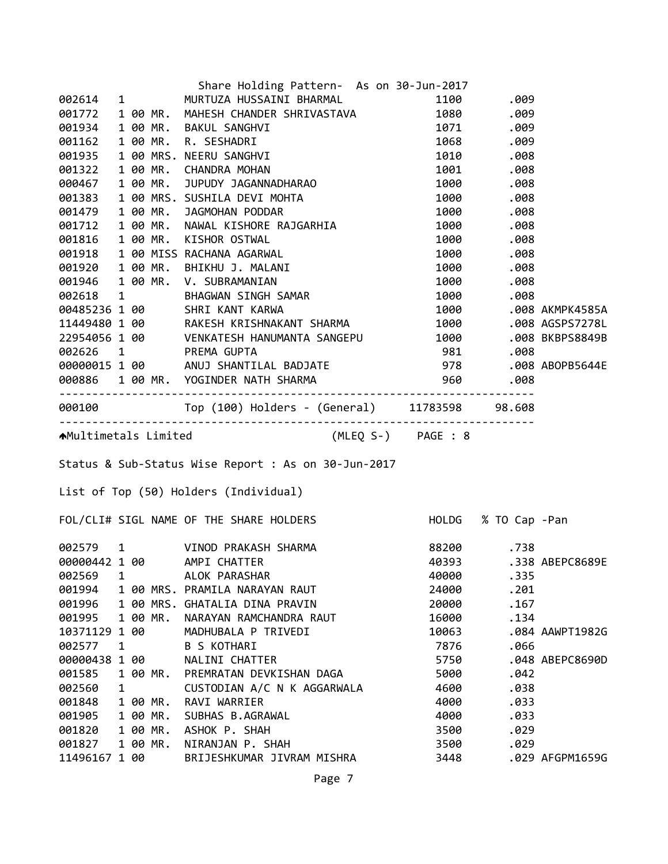|                         |   |          | Share Holding Pattern- As on 30-Jun-2017                                                                                                                                                                                                       |       |            |                 |
|-------------------------|---|----------|------------------------------------------------------------------------------------------------------------------------------------------------------------------------------------------------------------------------------------------------|-------|------------|-----------------|
|                         |   |          | 002614 1 MURTUZA HUSSAINI BHARMAL                                                                                                                                                                                                              |       | 1100.009   |                 |
| 001772                  |   |          | 1 00 MR. MAHESH CHANDER SHRIVASTAVA 1080 .009                                                                                                                                                                                                  |       |            |                 |
|                         |   |          | 001934 1 00 MR. BAKUL SANGHVI                                                                                                                                                                                                                  |       |            |                 |
| 001162                  |   |          | 1 00 MR. BAKUL SANGHVI<br>1 00 MR. R. SESHADRI<br>1 00 MRS. NEERU SANGHVI<br>1 00 MRS. NEERU SANGHVI<br>1 00 MRS. NEERU SANGHVI<br>1 00 MR. CHANDRA MOHAN<br>1 00 MR. JUPUDY JAGANNADHARAO<br>1 00 MRS. SUSHILA DEVI MOHTA<br>1 00 MRS. SUSHIL |       |            |                 |
| 001935                  |   |          |                                                                                                                                                                                                                                                |       |            |                 |
| 001322                  |   |          |                                                                                                                                                                                                                                                |       |            |                 |
| 000467                  |   |          |                                                                                                                                                                                                                                                |       |            |                 |
| 001383                  |   |          |                                                                                                                                                                                                                                                |       |            |                 |
|                         |   |          | 001479 1 00 MR. JAGMOHAN PODDAR                                                                                                                                                                                                                |       |            |                 |
| 001712                  |   |          |                                                                                                                                                                                                                                                |       |            |                 |
|                         |   |          |                                                                                                                                                                                                                                                |       |            |                 |
|                         |   |          |                                                                                                                                                                                                                                                |       |            |                 |
|                         |   |          |                                                                                                                                                                                                                                                |       |            |                 |
|                         |   |          | 001316 1 00 MR. KISHOR OSTWAL 100 MS<br>001816 1 00 MR. KISHOR OSTWAL 1000 .008<br>001918 1 00 MISS RACHANA AGARWAL 1000 .008<br>001920 1 00 MR. BHIKHU J. MALANI 1000 .008<br>001946 1 00 MR. V. SUBRAMANIAN 1000 .008<br>002618 1 BHAG       |       |            |                 |
|                         |   |          |                                                                                                                                                                                                                                                |       |            |                 |
|                         |   |          |                                                                                                                                                                                                                                                |       |            |                 |
|                         |   |          |                                                                                                                                                                                                                                                |       |            |                 |
|                         |   |          |                                                                                                                                                                                                                                                |       |            |                 |
|                         |   |          |                                                                                                                                                                                                                                                |       |            |                 |
|                         |   |          |                                                                                                                                                                                                                                                |       |            |                 |
|                         |   |          |                                                                                                                                                                                                                                                |       |            |                 |
|                         |   |          | 22954056 1 00 MANLSH MISHIMANTA SANGEPU<br>002626 1 PREMA GUPTA 981 .008 BKBPS8849B<br>00000015 1 00 ANUJ SHANTILAL BADJATE 978 .008 ABOPB5644E<br>000886 1 00 MR. YOGINDER NATH SHARMA 960 .008<br>----------------------------------         |       |            |                 |
|                         |   |          |                                                                                                                                                                                                                                                |       |            |                 |
|                         |   |          |                                                                                                                                                                                                                                                |       |            |                 |
|                         |   |          |                                                                                                                                                                                                                                                |       |            |                 |
|                         |   |          | AMultimetals Limited (MLEQ S-) PAGE : 8                                                                                                                                                                                                        |       |            |                 |
|                         |   |          |                                                                                                                                                                                                                                                |       |            |                 |
|                         |   |          | Status & Sub-Status Wise Report : As on 30-Jun-2017                                                                                                                                                                                            |       |            |                 |
|                         |   |          | List of Top (50) Holders (Individual)                                                                                                                                                                                                          |       |            |                 |
|                         |   |          | FOL/CLI# SIGL NAME OF THE SHARE HOLDERS HOLD HOLDG % TO Cap -Pan                                                                                                                                                                               |       |            |                 |
|                         |   |          |                                                                                                                                                                                                                                                |       | 88200 .738 |                 |
|                         |   |          | 002579 1 VINOD PRAKASH SHARMA<br>ααααααΔ2 1 αα ΔΜΡΤ CHΔΤΤΕR<br>00000442 1 00 AMPI CHATTER                                                                                                                                                      | 40393 |            | .338 ABEPC8689E |
| 002569                  | 1 |          | ALOK PARASHAR                                                                                                                                                                                                                                  | 40000 | .335       |                 |
| 001994                  |   |          | 1 00 MRS. PRAMILA NARAYAN RAUT                                                                                                                                                                                                                 | 24000 | .201       |                 |
| 001996                  |   |          | 1 00 MRS. GHATALIA DINA PRAVIN                                                                                                                                                                                                                 | 20000 | .167       |                 |
| 001995                  |   | 1 00 MR. | NARAYAN RAMCHANDRA RAUT                                                                                                                                                                                                                        | 16000 | .134       |                 |
| 10371129 1 00           |   |          | MADHUBALA P TRIVEDI                                                                                                                                                                                                                            | 10063 |            | .084 AAWPT1982G |
| 002577                  | 1 |          | <b>B S KOTHARI</b>                                                                                                                                                                                                                             | 7876  | .066       |                 |
| 00000438 1 00           |   |          | NALINI CHATTER                                                                                                                                                                                                                                 | 5750  |            | .048 ABEPC8690D |
| 001585                  |   | 1 00 MR. | PREMRATAN DEVKISHAN DAGA                                                                                                                                                                                                                       | 5000  | .042       |                 |
| 002560                  | 1 |          | CUSTODIAN A/C N K AGGARWALA                                                                                                                                                                                                                    | 4600  | .038       |                 |
| 001848                  |   | 1 00 MR. | RAVI WARRIER                                                                                                                                                                                                                                   | 4000  | .033       |                 |
| 001905                  |   | 1 00 MR. | SUBHAS B.AGRAWAL                                                                                                                                                                                                                               | 4000  | .033       |                 |
| 001820                  |   | 1 00 MR. | ASHOK P. SHAH                                                                                                                                                                                                                                  | 3500  | .029       |                 |
| 001827<br>11496167 1 00 |   | 1 00 MR. | NIRANJAN P. SHAH                                                                                                                                                                                                                               | 3500  | .029       |                 |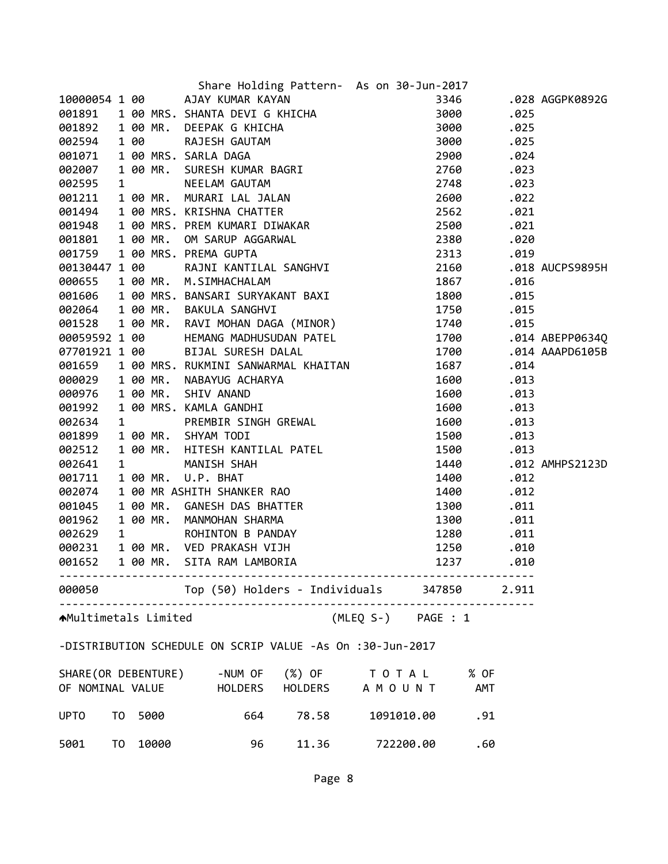|                             |  |         | Share Holding Pattern- As on 30-Jun-2017                                                                                                                                                                                                     |                    |      |                 |
|-----------------------------|--|---------|----------------------------------------------------------------------------------------------------------------------------------------------------------------------------------------------------------------------------------------------|--------------------|------|-----------------|
|                             |  |         |                                                                                                                                                                                                                                              |                    |      | .028 AGGPK0892G |
|                             |  |         |                                                                                                                                                                                                                                              |                    | .025 |                 |
|                             |  |         |                                                                                                                                                                                                                                              |                    | .025 |                 |
|                             |  |         |                                                                                                                                                                                                                                              |                    | .025 |                 |
|                             |  |         |                                                                                                                                                                                                                                              |                    | .024 |                 |
|                             |  |         |                                                                                                                                                                                                                                              |                    | .023 |                 |
|                             |  |         |                                                                                                                                                                                                                                              |                    | .023 |                 |
|                             |  |         | Share Holding Pattern- As on 30-Jun-2017<br>001891 100 AJAY KUMAR KAYAN<br>001891 100 MRS. SHANTA DEVIG KHICHA<br>001892 100 MR. DEEPAK G KHICHA 3000<br>002594 100 RAJESH GAUTAM 3000<br>002594 100 RAJESH GAUTAM 3000<br>00267 100 MRS.    |                    | .022 |                 |
|                             |  |         |                                                                                                                                                                                                                                              |                    | .021 |                 |
|                             |  |         |                                                                                                                                                                                                                                              |                    | .021 |                 |
|                             |  |         |                                                                                                                                                                                                                                              |                    | .020 |                 |
|                             |  |         |                                                                                                                                                                                                                                              |                    | .019 |                 |
|                             |  |         |                                                                                                                                                                                                                                              |                    |      | .018 AUCPS9895H |
|                             |  |         |                                                                                                                                                                                                                                              |                    | .016 |                 |
|                             |  |         |                                                                                                                                                                                                                                              |                    | .015 |                 |
|                             |  |         |                                                                                                                                                                                                                                              |                    |      |                 |
|                             |  |         |                                                                                                                                                                                                                                              |                    | .015 |                 |
|                             |  |         |                                                                                                                                                                                                                                              |                    | .015 |                 |
| 00059592 1 00               |  |         | HEMANG MADHUSUDAN PATEL 1700                                                                                                                                                                                                                 |                    |      | .014 ABEPP06340 |
|                             |  |         | 00059592 1 00<br>07701921 1 00 BIJAL SURESH DALAL<br>001659 1 00 MRS. RUKMINI SANWARMAL KHAITAN<br>000029 1 00 MR. NABAYUG ACHARYA<br>000976 1 00 MR. SHIV ANAND<br>001992 1 00 MRS. KAMLA GANDHI<br>002634 1 PREMBIR SINGH GREWAL<br>001899 | 1700               |      | .014 AAAPD6105B |
|                             |  |         |                                                                                                                                                                                                                                              | 1687               | .014 |                 |
|                             |  |         |                                                                                                                                                                                                                                              | 1600               | .013 |                 |
|                             |  |         |                                                                                                                                                                                                                                              | 1600               | .013 |                 |
|                             |  |         |                                                                                                                                                                                                                                              | 1600               | .013 |                 |
|                             |  |         |                                                                                                                                                                                                                                              | 1600               | .013 |                 |
|                             |  |         |                                                                                                                                                                                                                                              | 1500               | .013 |                 |
|                             |  |         |                                                                                                                                                                                                                                              | 1500               | .013 |                 |
| 002641                      |  |         |                                                                                                                                                                                                                                              | 1440               |      | .012 AMHPS2123D |
| 001711                      |  |         |                                                                                                                                                                                                                                              | 1400               | .012 |                 |
| 002074                      |  |         |                                                                                                                                                                                                                                              | 1400               | .012 |                 |
| 001045                      |  |         |                                                                                                                                                                                                                                              | 1300               | .011 |                 |
| 001962                      |  |         |                                                                                                                                                                                                                                              | 1300               | .011 |                 |
| 002629                      |  |         |                                                                                                                                                                                                                                              | 1280               | .011 |                 |
| 000231                      |  |         |                                                                                                                                                                                                                                              | 1250               | .010 |                 |
| 001652                      |  |         | 1 00 MR. HITESH KANTILAL PATEL<br>1 00 MR. U.P. BHAT<br>1 00 MR ASHITH SHANKER RAO<br>1 00 MR. GANESH DAS BHATTER<br>1 00 MR. MANMOHAN SHARMA<br>1 00 MR. WED PRAKASH VIJH<br>1 00 MR. VED PRAKASH VIJH<br>1 00 MR. SITA RAM LAMBORIA        | 1237               | .010 |                 |
|                             |  |         |                                                                                                                                                                                                                                              |                    |      |                 |
|                             |  |         | 000050 Top (50) Holders - Individuals 347850 2.911                                                                                                                                                                                           |                    |      |                 |
| <b>AMultimetals Limited</b> |  |         |                                                                                                                                                                                                                                              | (MLEQ S-) PAGE : 1 |      |                 |
|                             |  |         | -DISTRIBUTION SCHEDULE ON SCRIP VALUE -As On :30-Jun-2017                                                                                                                                                                                    |                    |      |                 |
|                             |  |         |                                                                                                                                                                                                                                              |                    |      |                 |
|                             |  |         | SHARE (OR DEBENTURE) -NUM OF (%) OF TO TAL % OF                                                                                                                                                                                              |                    |      |                 |
|                             |  |         | OF NOMINAL VALUE THOLDERS HOLDERS A MOUNT AMT                                                                                                                                                                                                |                    |      |                 |
| <b>UPTO</b>                 |  | TO 5000 | 664 78.58                                                                                                                                                                                                                                    | 1091010.00<br>.91  |      |                 |
| 5001 TO                     |  | 10000   | 11.36<br>96                                                                                                                                                                                                                                  | 722200.00<br>.60   |      |                 |
|                             |  |         |                                                                                                                                                                                                                                              |                    |      |                 |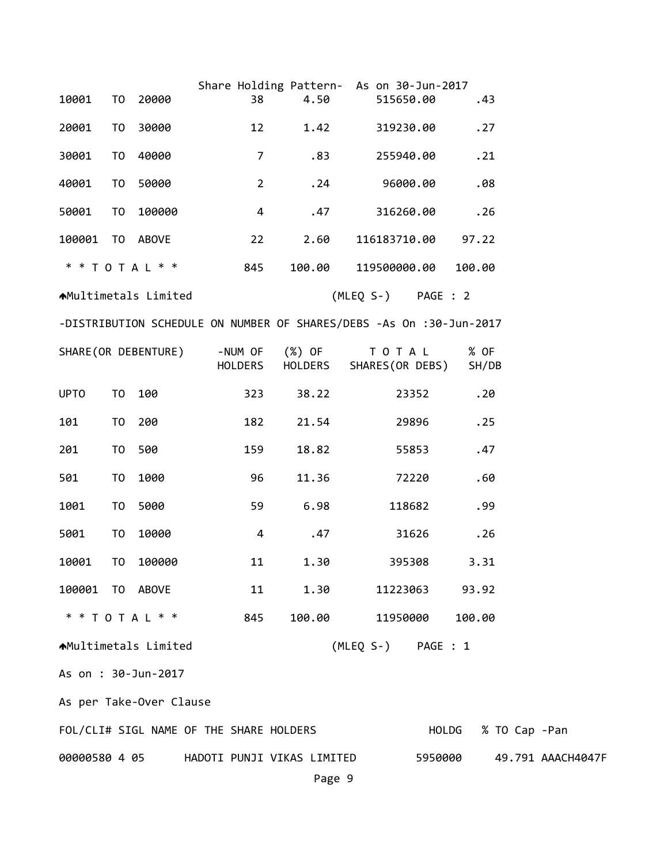|                                          |                |                                                                     |                    | Share Holding Pattern- As on 30-Jun-2017 |                              |         |        |               |                   |  |  |
|------------------------------------------|----------------|---------------------------------------------------------------------|--------------------|------------------------------------------|------------------------------|---------|--------|---------------|-------------------|--|--|
| 10001                                    | T0             | 20000                                                               | 38                 | 4.50                                     | 515650.00                    |         |        | .43           |                   |  |  |
| 20001                                    | T <sub>0</sub> | 30000                                                               | 12                 | 1.42                                     | 319230.00                    |         |        | .27           |                   |  |  |
| 30001                                    | T0             | 40000                                                               | $\overline{7}$     | .83                                      | 255940.00                    |         |        | .21           |                   |  |  |
| 40001                                    | T0             | 50000                                                               | $\overline{2}$     | .24                                      | 96000.00                     |         |        | .08           |                   |  |  |
| 50001                                    | T <sub>0</sub> | 100000                                                              | $\overline{4}$     | .47                                      | 316260.00                    |         |        | .26           |                   |  |  |
| 100001                                   |                | TO ABOVE                                                            | 22                 | 2.60                                     | 116183710.00                 |         |        | 97.22         |                   |  |  |
|                                          |                | * * T O T A L * *                                                   | 845                | 100.00                                   | 119500000.00                 |         | 100.00 |               |                   |  |  |
| ★Multimetals Limited                     |                |                                                                     |                    |                                          | (MLEQ S-) PAGE : 2           |         |        |               |                   |  |  |
|                                          |                | -DISTRIBUTION SCHEDULE ON NUMBER OF SHARES/DEBS -As On :30-Jun-2017 |                    |                                          |                              |         |        |               |                   |  |  |
| SHARE (OR DEBENTURE)                     |                |                                                                     | -NUM OF<br>HOLDERS | (%) OF<br>HOLDERS                        | T O T A L<br>SHARES(OR DEBS) |         |        | % OF<br>SH/DB |                   |  |  |
| <b>UPTO</b>                              | TO             | 100                                                                 | 323                | 38.22                                    |                              | 23352   |        | .20           |                   |  |  |
| 101                                      | T0             | 200                                                                 | 182                | 21.54                                    |                              | 29896   |        | .25           |                   |  |  |
| 201                                      | TO             | 500                                                                 | 159                | 18.82                                    |                              | 55853   |        | .47           |                   |  |  |
| 501                                      | T <sub>0</sub> | 1000                                                                | 96                 | 11.36                                    |                              | 72220   |        | .60           |                   |  |  |
| 1001                                     | T <sub>0</sub> | 5000                                                                | 59                 | 6.98                                     | 118682                       |         |        | .99           |                   |  |  |
| 5001                                     | TO             | 10000                                                               | $\overline{4}$     | .47                                      |                              | 31626   |        | .26           |                   |  |  |
| 10001                                    | TO             | 100000                                                              | 11                 | 1.30                                     | 395308                       |         |        | 3.31          |                   |  |  |
| 100001 TO ABOVE                          |                |                                                                     | 11                 | 1.30                                     | 11223063 93.92               |         |        |               |                   |  |  |
|                                          |                | * * T O T A L * *                                                   | 845                | 100.00                                   | 11950000                     |         | 100.00 |               |                   |  |  |
| AMultimetals Limited                     |                |                                                                     |                    |                                          | (MLEQ S-) PAGE : 1           |         |        |               |                   |  |  |
| As on : 30-Jun-2017                      |                |                                                                     |                    |                                          |                              |         |        |               |                   |  |  |
| As per Take-Over Clause                  |                |                                                                     |                    |                                          |                              |         |        |               |                   |  |  |
| FOL/CLI# SIGL NAME OF THE SHARE HOLDERS  |                |                                                                     |                    |                                          |                              |         | HOLDG  |               | % TO Cap -Pan     |  |  |
| 00000580 4 05 HADOTI PUNJI VIKAS LIMITED |                |                                                                     |                    |                                          |                              | 5950000 |        |               | 49.791 AAACH4047F |  |  |
|                                          |                |                                                                     |                    | Page 9                                   |                              |         |        |               |                   |  |  |